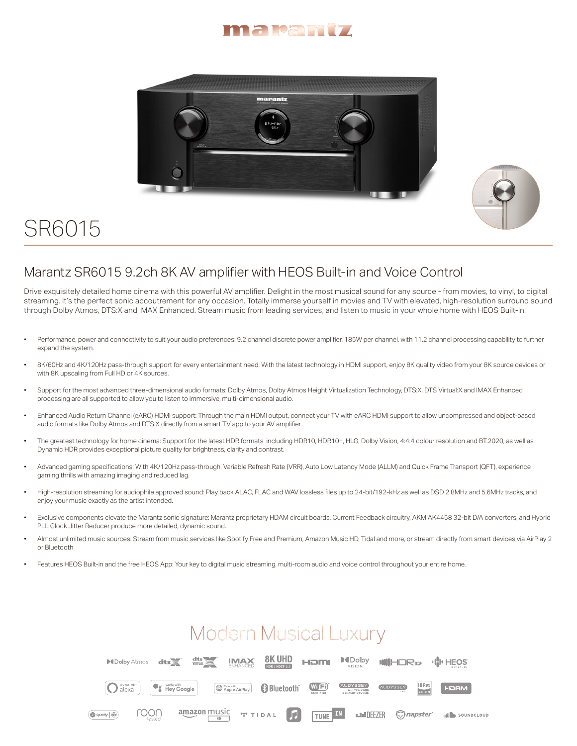





## SR6015

## Marantz SR6015 9.2ch 8K AV amplifier with HEOS Built-in and Voice Control

Drive exquisitely detailed home cinema with this powerful AV amplifier. Delight in the most musical sound for any source - from movies, to vinyl, to digital streaming. It's the perfect sonic accoutrement for any occasion. Totally immerse yourself in movies and TV with elevated, high-resolution surround sound through Dolby Atmos, DTS:X and IMAX Enhanced. Stream music from leading services, and listen to music in your whole home with HEOS Built-in.

- Performance, power and connectivity to suit your audio preferences: 9.2 channel discrete power amplifier, 185W per channel, with 11.2 channel processing capability to further expand the system.
- 8K/60Hz and 4K/120Hz pass-through support for every entertainment need: With the latest technology in HDMI support, enjoy 8K quality video from your 8K source devices or with 8K upscaling from Full HD or 4K sources.
- Support for the most advanced three-dimensional audio formats: Dolby Atmos, Dolby Atmos Height Virtualization Technology, DTS:X, DTS Virtual:X and IMAX Enhanced processing are all supported to allow you to listen to immersive, multi-dimensional audio.
- Enhanced Audio Return Channel (eARC) HDMI support: Through the main HDMI output, connect your TV with eARC HDMI support to allow uncompressed and object-based audio formats like Dolby Atmos and DTS:X directly from a smart TV app to your AV amplifier.
- The greatest technology for home cinema: Support for the latest HDR formats including HDR10, HDR10+, HLG, Dolby Vision, 4:4:4 colour resolution and BT.2020, as well as Dynamic HDR provides exceptional picture quality for brightness, clarity and contrast.
- Advanced gaming specifications: With 4K/120Hz pass-through, Variable Refresh Rate (VRR), Auto Low Latency Mode (ALLM) and Quick Frame Transport (QFT), experience gaming thrills with amazing imaging and reduced lag.
- High-resolution streaming for audiophile approved sound: Play back ALAC, FLAC and WAV lossless files up to 24-bit/192-kHz as well as DSD 2.8MHz and 5.6MHz tracks, and enjoy your music exactly as the artist intended.
- Exclusive components elevate the Marantz sonic signature: Marantz proprietary HDAM circuit boards, Current Feedback circuitry, AKM AK4458 32-bit D/A converters, and Hybrid PLL Clock Jitter Reducer produce more detailed, dynamic sound.
- Almost unlimited music sources: Stream from music services like Spotify Free and Premium, Amazon Music HD, Tidal and more, or stream directly from smart devices via AirPlay 2 or Bluetooth
- Features HEOS Built-in and the free HEOS App: Your key to digital music streaming, multi-room audio and voice control throughout your entire home.

## **Modern Musical Luxury**